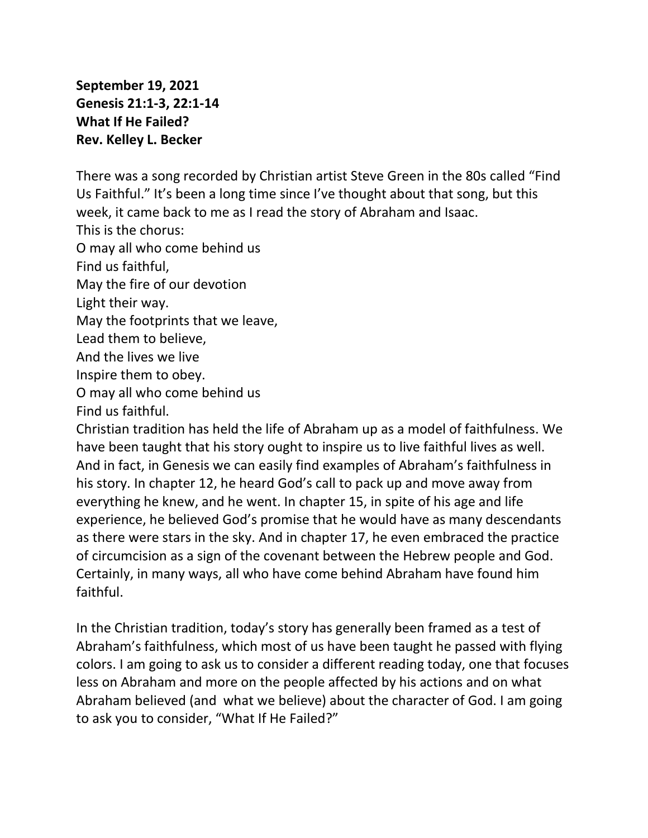**September 19, 2021 Genesis 21:1-3, 22:1-14 What If He Failed? Rev. Kelley L. Becker**

There was a song recorded by Christian artist Steve Green in the 80s called "Find Us Faithful." It's been a long time since I've thought about that song, but this week, it came back to me as I read the story of Abraham and Isaac.

This is the chorus:

O may all who come behind us

Find us faithful,

May the fire of our devotion

Light their way.

May the footprints that we leave,

Lead them to believe,

And the lives we live

Inspire them to obey.

O may all who come behind us

Find us faithful.

Christian tradition has held the life of Abraham up as a model of faithfulness. We have been taught that his story ought to inspire us to live faithful lives as well. And in fact, in Genesis we can easily find examples of Abraham's faithfulness in his story. In chapter 12, he heard God's call to pack up and move away from everything he knew, and he went. In chapter 15, in spite of his age and life experience, he believed God's promise that he would have as many descendants as there were stars in the sky. And in chapter 17, he even embraced the practice of circumcision as a sign of the covenant between the Hebrew people and God. Certainly, in many ways, all who have come behind Abraham have found him faithful.

In the Christian tradition, today's story has generally been framed as a test of Abraham's faithfulness, which most of us have been taught he passed with flying colors. I am going to ask us to consider a different reading today, one that focuses less on Abraham and more on the people affected by his actions and on what Abraham believed (and what we believe) about the character of God. I am going to ask you to consider, "What If He Failed?"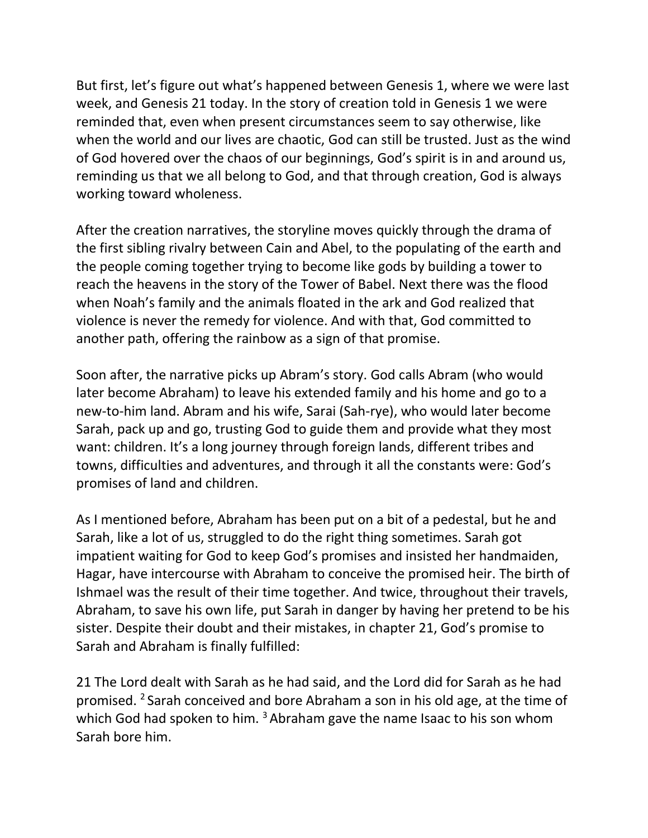But first, let's figure out what's happened between Genesis 1, where we were last week, and Genesis 21 today. In the story of creation told in Genesis 1 we were reminded that, even when present circumstances seem to say otherwise, like when the world and our lives are chaotic, God can still be trusted. Just as the wind of God hovered over the chaos of our beginnings, God's spirit is in and around us, reminding us that we all belong to God, and that through creation, God is always working toward wholeness.

After the creation narratives, the storyline moves quickly through the drama of the first sibling rivalry between Cain and Abel, to the populating of the earth and the people coming together trying to become like gods by building a tower to reach the heavens in the story of the Tower of Babel. Next there was the flood when Noah's family and the animals floated in the ark and God realized that violence is never the remedy for violence. And with that, God committed to another path, offering the rainbow as a sign of that promise.

Soon after, the narrative picks up Abram's story. God calls Abram (who would later become Abraham) to leave his extended family and his home and go to a new-to-him land. Abram and his wife, Sarai (Sah-rye), who would later become Sarah, pack up and go, trusting God to guide them and provide what they most want: children. It's a long journey through foreign lands, different tribes and towns, difficulties and adventures, and through it all the constants were: God's promises of land and children.

As I mentioned before, Abraham has been put on a bit of a pedestal, but he and Sarah, like a lot of us, struggled to do the right thing sometimes. Sarah got impatient waiting for God to keep God's promises and insisted her handmaiden, Hagar, have intercourse with Abraham to conceive the promised heir. The birth of Ishmael was the result of their time together. And twice, throughout their travels, Abraham, to save his own life, put Sarah in danger by having her pretend to be his sister. Despite their doubt and their mistakes, in chapter 21, God's promise to Sarah and Abraham is finally fulfilled:

21 The Lord dealt with Sarah as he had said, and the Lord did for Sarah as he had promised. <sup>2</sup> Sarah conceived and bore Abraham a son in his old age, at the time of which God had spoken to him.  $3$  Abraham gave the name Isaac to his son whom Sarah bore him.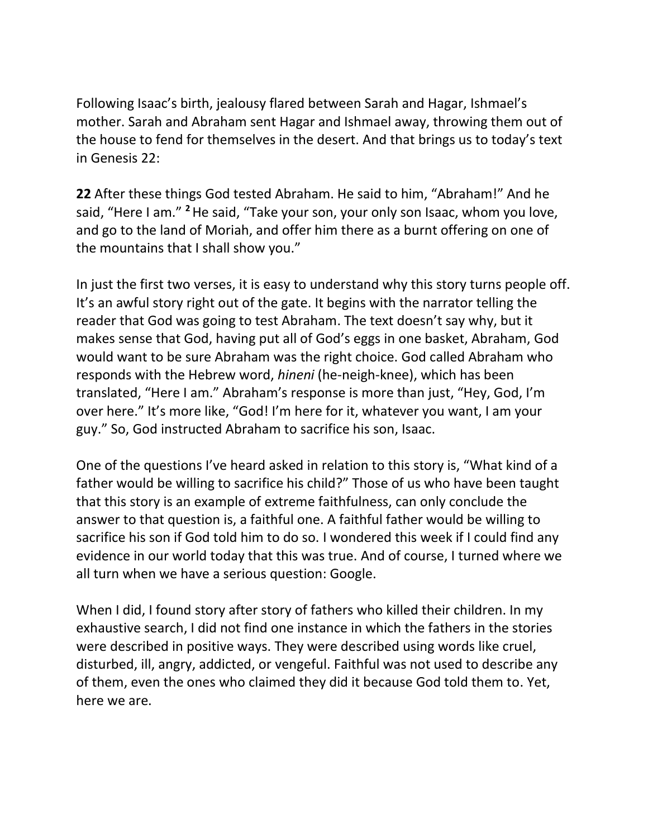Following Isaac's birth, jealousy flared between Sarah and Hagar, Ishmael's mother. Sarah and Abraham sent Hagar and Ishmael away, throwing them out of the house to fend for themselves in the desert. And that brings us to today's text in Genesis 22:

**22** After these things God tested Abraham. He said to him, "Abraham!" And he said, "Here I am." **<sup>2</sup>**He said, "Take your son, your only son Isaac, whom you love, and go to the land of Moriah, and offer him there as a burnt offering on one of the mountains that I shall show you."

In just the first two verses, it is easy to understand why this story turns people off. It's an awful story right out of the gate. It begins with the narrator telling the reader that God was going to test Abraham. The text doesn't say why, but it makes sense that God, having put all of God's eggs in one basket, Abraham, God would want to be sure Abraham was the right choice. God called Abraham who responds with the Hebrew word, *hineni* (he-neigh-knee), which has been translated, "Here I am." Abraham's response is more than just, "Hey, God, I'm over here." It's more like, "God! I'm here for it, whatever you want, I am your guy." So, God instructed Abraham to sacrifice his son, Isaac.

One of the questions I've heard asked in relation to this story is, "What kind of a father would be willing to sacrifice his child?" Those of us who have been taught that this story is an example of extreme faithfulness, can only conclude the answer to that question is, a faithful one. A faithful father would be willing to sacrifice his son if God told him to do so. I wondered this week if I could find any evidence in our world today that this was true. And of course, I turned where we all turn when we have a serious question: Google.

When I did, I found story after story of fathers who killed their children. In my exhaustive search, I did not find one instance in which the fathers in the stories were described in positive ways. They were described using words like cruel, disturbed, ill, angry, addicted, or vengeful. Faithful was not used to describe any of them, even the ones who claimed they did it because God told them to. Yet, here we are.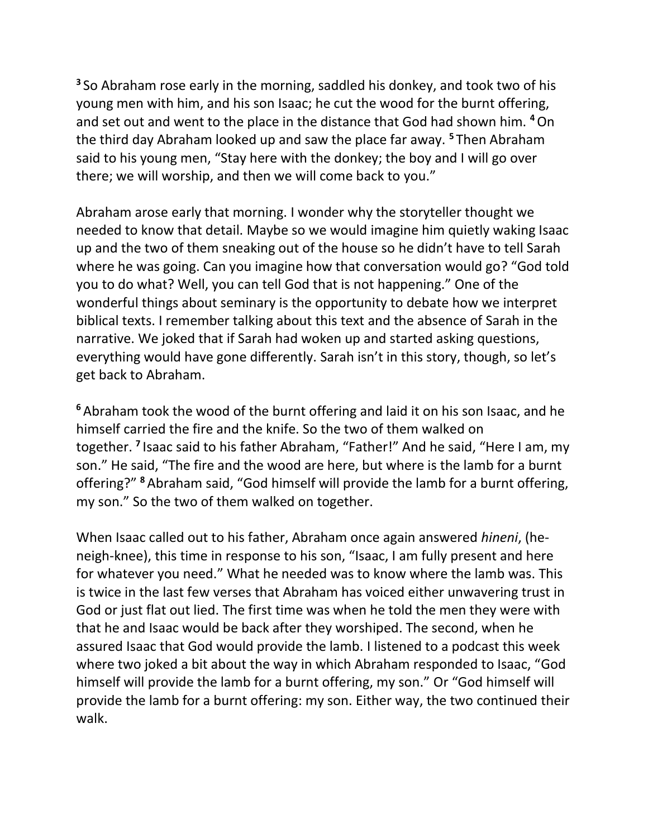**3** So Abraham rose early in the morning, saddled his donkey, and took two of his young men with him, and his son Isaac; he cut the wood for the burnt offering, and set out and went to the place in the distance that God had shown him. **<sup>4</sup>**On the third day Abraham looked up and saw the place far away. **<sup>5</sup>** Then Abraham said to his young men, "Stay here with the donkey; the boy and I will go over there; we will worship, and then we will come back to you."

Abraham arose early that morning. I wonder why the storyteller thought we needed to know that detail. Maybe so we would imagine him quietly waking Isaac up and the two of them sneaking out of the house so he didn't have to tell Sarah where he was going. Can you imagine how that conversation would go? "God told you to do what? Well, you can tell God that is not happening." One of the wonderful things about seminary is the opportunity to debate how we interpret biblical texts. I remember talking about this text and the absence of Sarah in the narrative. We joked that if Sarah had woken up and started asking questions, everything would have gone differently. Sarah isn't in this story, though, so let's get back to Abraham.

**<sup>6</sup>** Abraham took the wood of the burnt offering and laid it on his son Isaac, and he himself carried the fire and the knife. So the two of them walked on together. **<sup>7</sup>** Isaac said to his father Abraham, "Father!" And he said, "Here I am, my son." He said, "The fire and the wood are here, but where is the lamb for a burnt offering?" **<sup>8</sup>** Abraham said, "God himself will provide the lamb for a burnt offering, my son." So the two of them walked on together.

When Isaac called out to his father, Abraham once again answered *hineni*, (heneigh-knee), this time in response to his son, "Isaac, I am fully present and here for whatever you need." What he needed was to know where the lamb was. This is twice in the last few verses that Abraham has voiced either unwavering trust in God or just flat out lied. The first time was when he told the men they were with that he and Isaac would be back after they worshiped. The second, when he assured Isaac that God would provide the lamb. I listened to a podcast this week where two joked a bit about the way in which Abraham responded to Isaac, "God himself will provide the lamb for a burnt offering, my son." Or "God himself will provide the lamb for a burnt offering: my son. Either way, the two continued their walk.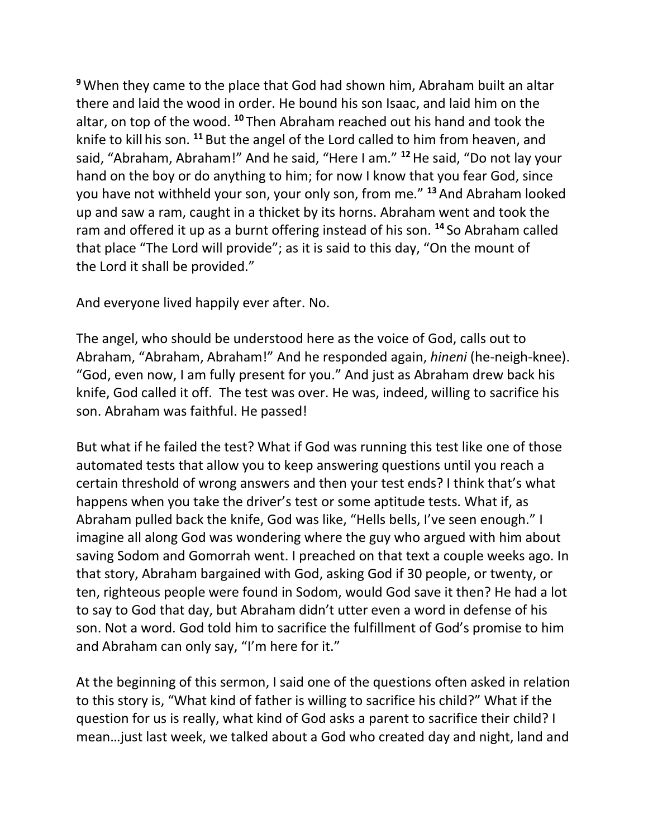**<sup>9</sup>**When they came to the place that God had shown him, Abraham built an altar there and laid the wood in order. He bound his son Isaac, and laid him on the altar, on top of the wood. **<sup>10</sup>** Then Abraham reached out his hand and took the knife to kill his son. **<sup>11</sup>** But the angel of the Lord called to him from heaven, and said, "Abraham, Abraham!" And he said, "Here I am." **<sup>12</sup>**He said, "Do not lay your hand on the boy or do anything to him; for now I know that you fear God, since you have not withheld your son, your only son, from me." **<sup>13</sup>** And Abraham looked up and saw a ram, caught in a thicket by its horns. Abraham went and took the ram and offered it up as a burnt offering instead of his son. **<sup>14</sup>** So Abraham called that place "The Lord will provide"; as it is said to this day, "On the mount of the Lord it shall be provided."

And everyone lived happily ever after. No.

The angel, who should be understood here as the voice of God, calls out to Abraham, "Abraham, Abraham!" And he responded again, *hineni* (he-neigh-knee). "God, even now, I am fully present for you." And just as Abraham drew back his knife, God called it off. The test was over. He was, indeed, willing to sacrifice his son. Abraham was faithful. He passed!

But what if he failed the test? What if God was running this test like one of those automated tests that allow you to keep answering questions until you reach a certain threshold of wrong answers and then your test ends? I think that's what happens when you take the driver's test or some aptitude tests. What if, as Abraham pulled back the knife, God was like, "Hells bells, I've seen enough." I imagine all along God was wondering where the guy who argued with him about saving Sodom and Gomorrah went. I preached on that text a couple weeks ago. In that story, Abraham bargained with God, asking God if 30 people, or twenty, or ten, righteous people were found in Sodom, would God save it then? He had a lot to say to God that day, but Abraham didn't utter even a word in defense of his son. Not a word. God told him to sacrifice the fulfillment of God's promise to him and Abraham can only say, "I'm here for it."

At the beginning of this sermon, I said one of the questions often asked in relation to this story is, "What kind of father is willing to sacrifice his child?" What if the question for us is really, what kind of God asks a parent to sacrifice their child? I mean…just last week, we talked about a God who created day and night, land and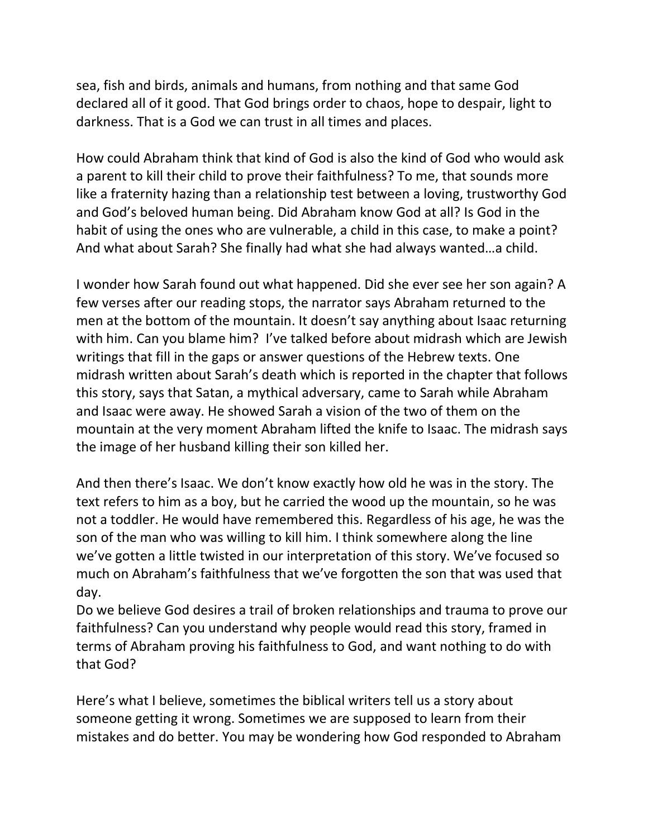sea, fish and birds, animals and humans, from nothing and that same God declared all of it good. That God brings order to chaos, hope to despair, light to darkness. That is a God we can trust in all times and places.

How could Abraham think that kind of God is also the kind of God who would ask a parent to kill their child to prove their faithfulness? To me, that sounds more like a fraternity hazing than a relationship test between a loving, trustworthy God and God's beloved human being. Did Abraham know God at all? Is God in the habit of using the ones who are vulnerable, a child in this case, to make a point? And what about Sarah? She finally had what she had always wanted…a child.

I wonder how Sarah found out what happened. Did she ever see her son again? A few verses after our reading stops, the narrator says Abraham returned to the men at the bottom of the mountain. It doesn't say anything about Isaac returning with him. Can you blame him? I've talked before about midrash which are Jewish writings that fill in the gaps or answer questions of the Hebrew texts. One midrash written about Sarah's death which is reported in the chapter that follows this story, says that Satan, a mythical adversary, came to Sarah while Abraham and Isaac were away. He showed Sarah a vision of the two of them on the mountain at the very moment Abraham lifted the knife to Isaac. The midrash says the image of her husband killing their son killed her.

And then there's Isaac. We don't know exactly how old he was in the story. The text refers to him as a boy, but he carried the wood up the mountain, so he was not a toddler. He would have remembered this. Regardless of his age, he was the son of the man who was willing to kill him. I think somewhere along the line we've gotten a little twisted in our interpretation of this story. We've focused so much on Abraham's faithfulness that we've forgotten the son that was used that day.

Do we believe God desires a trail of broken relationships and trauma to prove our faithfulness? Can you understand why people would read this story, framed in terms of Abraham proving his faithfulness to God, and want nothing to do with that God?

Here's what I believe, sometimes the biblical writers tell us a story about someone getting it wrong. Sometimes we are supposed to learn from their mistakes and do better. You may be wondering how God responded to Abraham